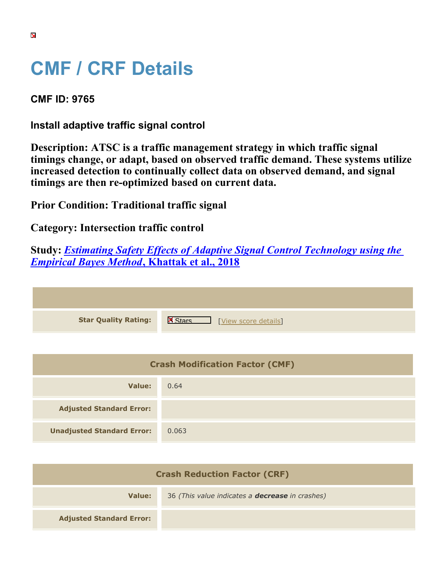## **CMF / CRF Details**

**CMF ID: 9765**

**Install adaptive traffic signal control**

**Description: ATSC is a traffic management strategy in which traffic signal timings change, or adapt, based on observed traffic demand. These systems utilize increased detection to continually collect data on observed demand, and signal timings are then re-optimized based on current data.**

**Prior Condition: Traditional traffic signal**

**Category: Intersection traffic control**

**Study:** *[Estimating Safety Effects of Adaptive Signal Control Technology using the](https://cmfclearinghouse.org/study_detail.cfm?stid=545) [Empirical Bayes Method](https://cmfclearinghouse.org/study_detail.cfm?stid=545)***[, Khattak et al., 2018](https://cmfclearinghouse.org/study_detail.cfm?stid=545)**

| <b>Star Quality Rating:</b> | $\mathsf{K}$<br>[View score details] |
|-----------------------------|--------------------------------------|

| <b>Crash Modification Factor (CMF)</b> |       |
|----------------------------------------|-------|
| Value:                                 | 0.64  |
| <b>Adjusted Standard Error:</b>        |       |
| <b>Unadjusted Standard Error:</b>      | 0.063 |

| <b>Crash Reduction Factor (CRF)</b> |                                                        |
|-------------------------------------|--------------------------------------------------------|
| Value:                              | 36 (This value indicates a <b>decrease</b> in crashes) |
| <b>Adjusted Standard Error:</b>     |                                                        |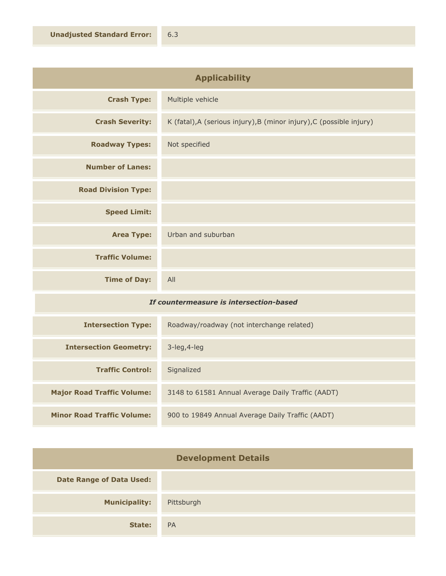| <b>Applicability</b>       |                                                                      |
|----------------------------|----------------------------------------------------------------------|
| <b>Crash Type:</b>         | Multiple vehicle                                                     |
| <b>Crash Severity:</b>     | K (fatal), A (serious injury), B (minor injury), C (possible injury) |
| <b>Roadway Types:</b>      | Not specified                                                        |
| <b>Number of Lanes:</b>    |                                                                      |
| <b>Road Division Type:</b> |                                                                      |
| <b>Speed Limit:</b>        |                                                                      |
| <b>Area Type:</b>          | Urban and suburban                                                   |
| <b>Traffic Volume:</b>     |                                                                      |
| <b>Time of Day:</b>        | All                                                                  |

## *If countermeasure is intersection-based*

| <b>Intersection Type:</b>         | Roadway/roadway (not interchange related)         |
|-----------------------------------|---------------------------------------------------|
| <b>Intersection Geometry:</b>     | $3$ -leg, 4-leg                                   |
| <b>Traffic Control:</b>           | Signalized                                        |
| <b>Major Road Traffic Volume:</b> | 3148 to 61581 Annual Average Daily Traffic (AADT) |
| <b>Minor Road Traffic Volume:</b> | 900 to 19849 Annual Average Daily Traffic (AADT)  |

| <b>Development Details</b>      |            |
|---------------------------------|------------|
| <b>Date Range of Data Used:</b> |            |
| <b>Municipality:</b>            | Pittsburgh |
| State:                          | <b>PA</b>  |